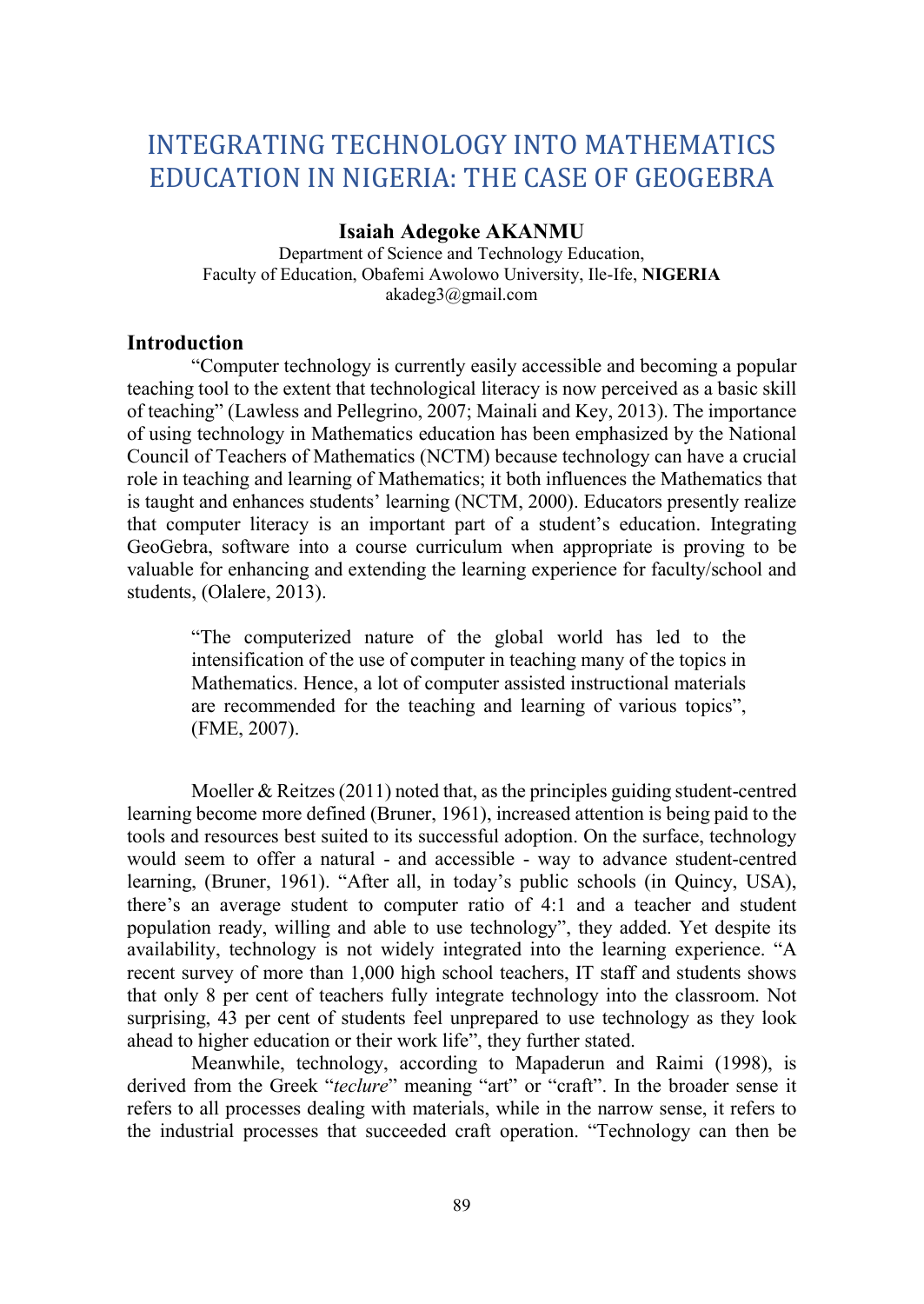# INTEGRATING TECHNOLOGY INTO MATHEMATICS EDUCATION IN NIGERIA: THE CASE OF GEOGEBRA

## Isaiah Adegoke AKANMU

Department of Science and Technology Education, Faculty of Education, Obafemi Awolowo University, Ile-Ife, NIGERIA akadeg3@gmail.com

### **Introduction**

"Computer technology is currently easily accessible and becoming a popular teaching tool to the extent that technological literacy is now perceived as a basic skill of teaching" (Lawless and Pellegrino, 2007; Mainali and Key, 2013). The importance of using technology in Mathematics education has been emphasized by the National Council of Teachers of Mathematics (NCTM) because technology can have a crucial role in teaching and learning of Mathematics; it both influences the Mathematics that is taught and enhances students' learning (NCTM, 2000). Educators presently realize that computer literacy is an important part of a student's education. Integrating GeoGebra, software into a course curriculum when appropriate is proving to be valuable for enhancing and extending the learning experience for faculty/school and students, (Olalere, 2013).

 "The computerized nature of the global world has led to the intensification of the use of computer in teaching many of the topics in Mathematics. Hence, a lot of computer assisted instructional materials are recommended for the teaching and learning of various topics", (FME, 2007).

Moeller & Reitzes (2011) noted that, as the principles guiding student-centred learning become more defined (Bruner, 1961), increased attention is being paid to the tools and resources best suited to its successful adoption. On the surface, technology would seem to offer a natural - and accessible - way to advance student-centred learning, (Bruner, 1961). "After all, in today's public schools (in Quincy, USA), there's an average student to computer ratio of 4:1 and a teacher and student population ready, willing and able to use technology", they added. Yet despite its availability, technology is not widely integrated into the learning experience. "A recent survey of more than 1,000 high school teachers, IT staff and students shows that only 8 per cent of teachers fully integrate technology into the classroom. Not surprising, 43 per cent of students feel unprepared to use technology as they look ahead to higher education or their work life", they further stated.

Meanwhile, technology, according to Mapaderun and Raimi (1998), is derived from the Greek "teclure" meaning "art" or "craft". In the broader sense it refers to all processes dealing with materials, while in the narrow sense, it refers to the industrial processes that succeeded craft operation. "Technology can then be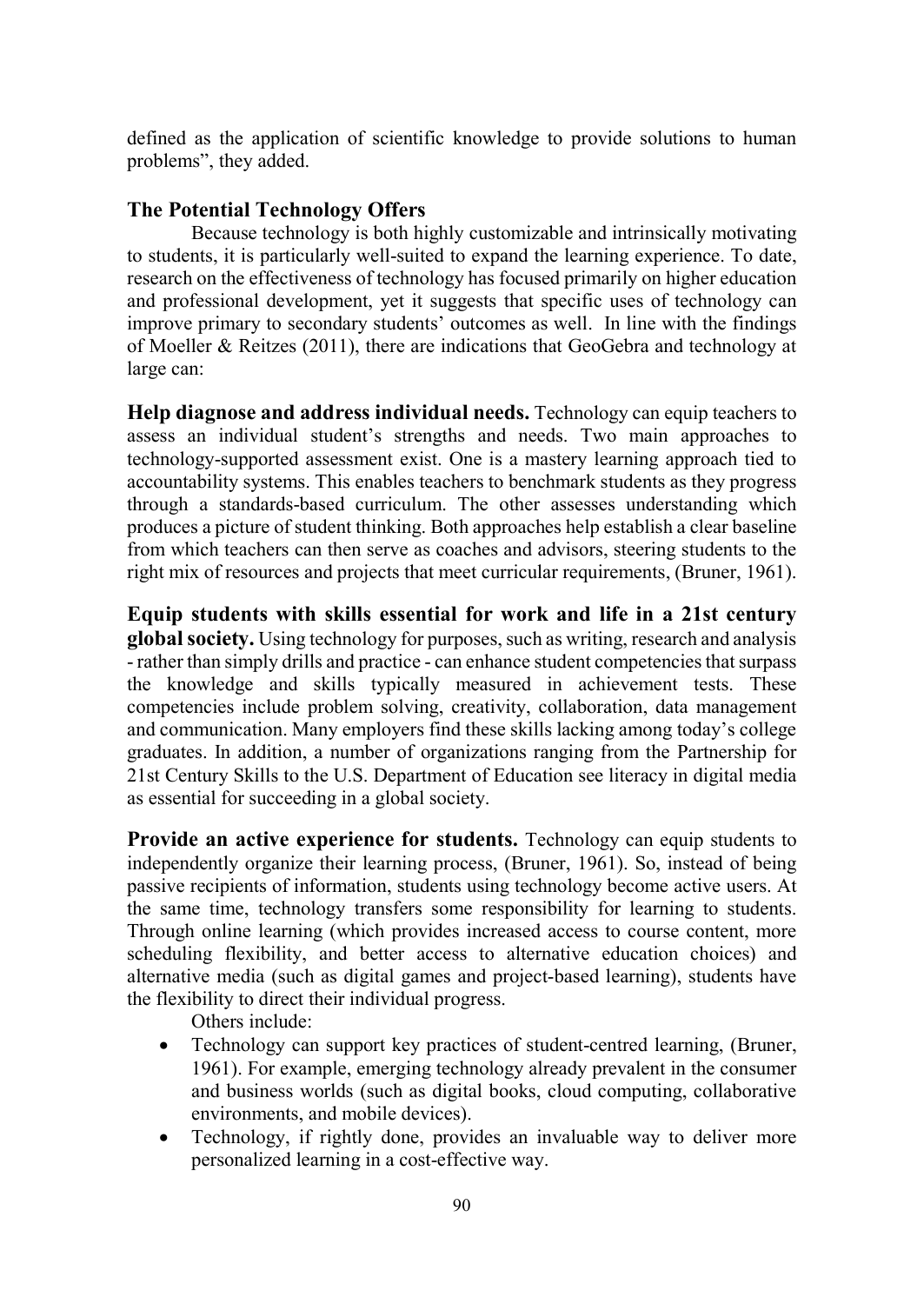defined as the application of scientific knowledge to provide solutions to human problems", they added.

# The Potential Technology Offers

Because technology is both highly customizable and intrinsically motivating to students, it is particularly well-suited to expand the learning experience. To date, research on the effectiveness of technology has focused primarily on higher education and professional development, yet it suggests that specific uses of technology can improve primary to secondary students' outcomes as well. In line with the findings of Moeller & Reitzes (2011), there are indications that GeoGebra and technology at large can:

Help diagnose and address individual needs. Technology can equip teachers to assess an individual student's strengths and needs. Two main approaches to technology-supported assessment exist. One is a mastery learning approach tied to accountability systems. This enables teachers to benchmark students as they progress through a standards-based curriculum. The other assesses understanding which produces a picture of student thinking. Both approaches help establish a clear baseline from which teachers can then serve as coaches and advisors, steering students to the right mix of resources and projects that meet curricular requirements, (Bruner, 1961).

Equip students with skills essential for work and life in a 21st century global society. Using technology for purposes, such as writing, research and analysis - rather than simply drills and practice - can enhance student competencies that surpass the knowledge and skills typically measured in achievement tests. These competencies include problem solving, creativity, collaboration, data management and communication. Many employers find these skills lacking among today's college graduates. In addition, a number of organizations ranging from the Partnership for 21st Century Skills to the U.S. Department of Education see literacy in digital media as essential for succeeding in a global society.

Provide an active experience for students. Technology can equip students to independently organize their learning process, (Bruner, 1961). So, instead of being passive recipients of information, students using technology become active users. At the same time, technology transfers some responsibility for learning to students. Through online learning (which provides increased access to course content, more scheduling flexibility, and better access to alternative education choices) and alternative media (such as digital games and project-based learning), students have the flexibility to direct their individual progress.

Others include:

- Technology can support key practices of student-centred learning, (Bruner, 1961). For example, emerging technology already prevalent in the consumer and business worlds (such as digital books, cloud computing, collaborative environments, and mobile devices).
- Technology, if rightly done, provides an invaluable way to deliver more personalized learning in a cost-effective way.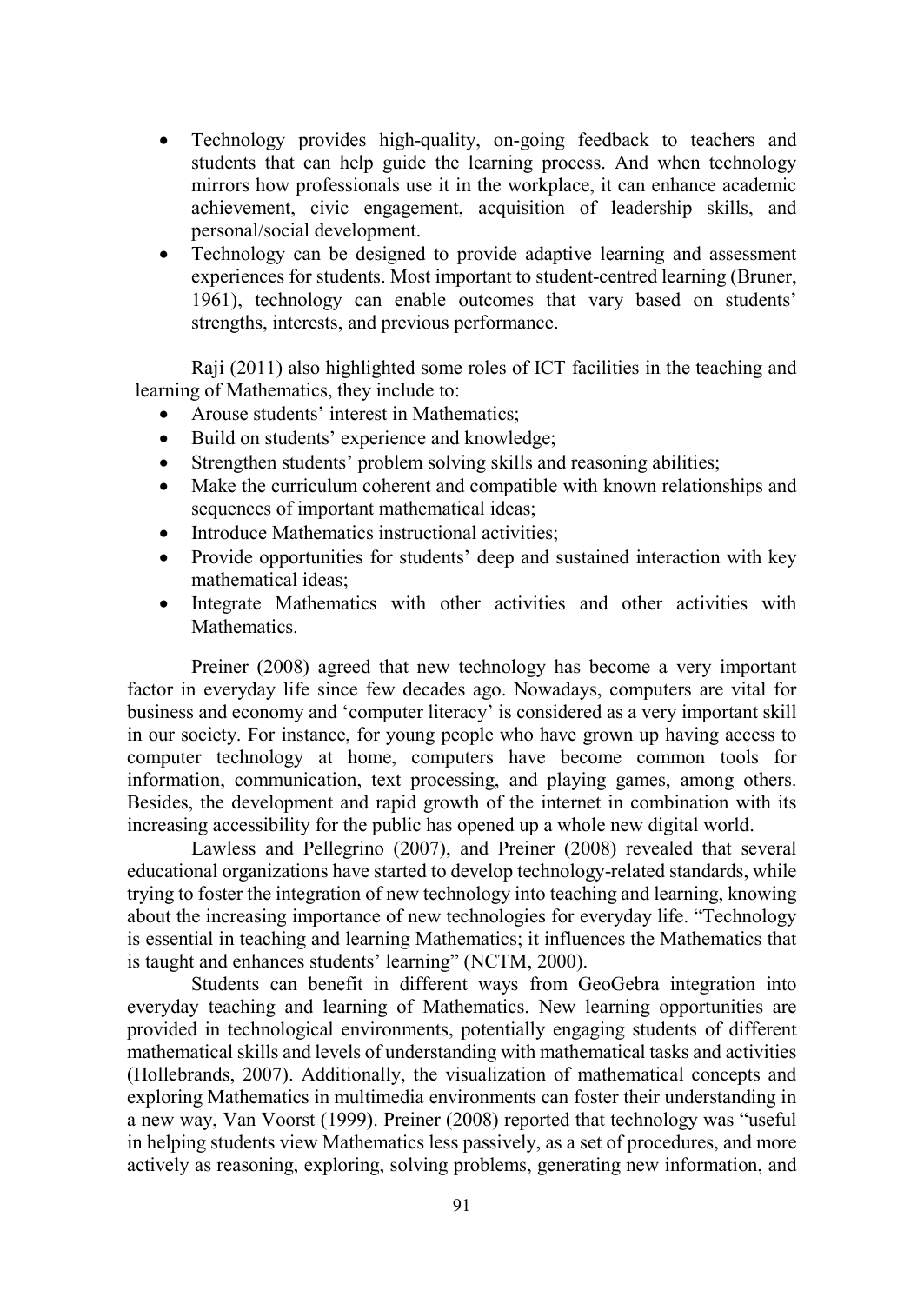- Technology provides high-quality, on-going feedback to teachers and students that can help guide the learning process. And when technology mirrors how professionals use it in the workplace, it can enhance academic achievement, civic engagement, acquisition of leadership skills, and personal/social development.
- Technology can be designed to provide adaptive learning and assessment experiences for students. Most important to student-centred learning (Bruner, 1961), technology can enable outcomes that vary based on students' strengths, interests, and previous performance.

Raji (2011) also highlighted some roles of ICT facilities in the teaching and learning of Mathematics, they include to:

- Arouse students' interest in Mathematics;
- Build on students' experience and knowledge;
- Strengthen students' problem solving skills and reasoning abilities;
- Make the curriculum coherent and compatible with known relationships and sequences of important mathematical ideas:
- Introduce Mathematics instructional activities;
- Provide opportunities for students' deep and sustained interaction with key mathematical ideas;
- Integrate Mathematics with other activities and other activities with Mathematics.

 Preiner (2008) agreed that new technology has become a very important factor in everyday life since few decades ago. Nowadays, computers are vital for business and economy and 'computer literacy' is considered as a very important skill in our society. For instance, for young people who have grown up having access to computer technology at home, computers have become common tools for information, communication, text processing, and playing games, among others. Besides, the development and rapid growth of the internet in combination with its increasing accessibility for the public has opened up a whole new digital world.

 Lawless and Pellegrino (2007), and Preiner (2008) revealed that several educational organizations have started to develop technology-related standards, while trying to foster the integration of new technology into teaching and learning, knowing about the increasing importance of new technologies for everyday life. "Technology is essential in teaching and learning Mathematics; it influences the Mathematics that is taught and enhances students' learning" (NCTM, 2000).

Students can benefit in different ways from GeoGebra integration into everyday teaching and learning of Mathematics. New learning opportunities are provided in technological environments, potentially engaging students of different mathematical skills and levels of understanding with mathematical tasks and activities (Hollebrands, 2007). Additionally, the visualization of mathematical concepts and exploring Mathematics in multimedia environments can foster their understanding in a new way, Van Voorst (1999). Preiner (2008) reported that technology was "useful in helping students view Mathematics less passively, as a set of procedures, and more actively as reasoning, exploring, solving problems, generating new information, and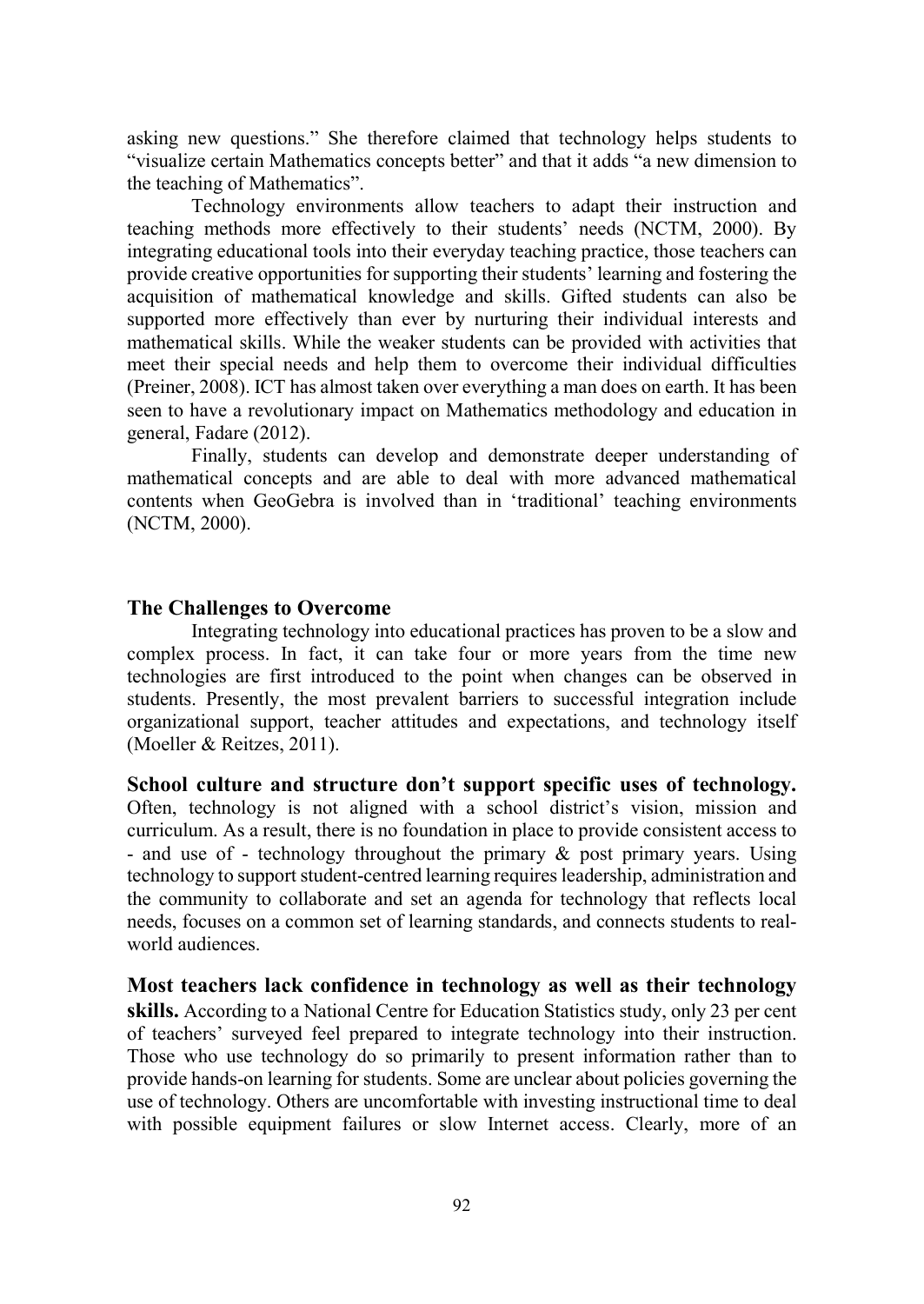asking new questions." She therefore claimed that technology helps students to "visualize certain Mathematics concepts better" and that it adds "a new dimension to the teaching of Mathematics".

 Technology environments allow teachers to adapt their instruction and teaching methods more effectively to their students' needs (NCTM, 2000). By integrating educational tools into their everyday teaching practice, those teachers can provide creative opportunities for supporting their students' learning and fostering the acquisition of mathematical knowledge and skills. Gifted students can also be supported more effectively than ever by nurturing their individual interests and mathematical skills. While the weaker students can be provided with activities that meet their special needs and help them to overcome their individual difficulties (Preiner, 2008). ICT has almost taken over everything a man does on earth. It has been seen to have a revolutionary impact on Mathematics methodology and education in general, Fadare (2012).

 Finally, students can develop and demonstrate deeper understanding of mathematical concepts and are able to deal with more advanced mathematical contents when GeoGebra is involved than in 'traditional' teaching environments (NCTM, 2000).

#### The Challenges to Overcome

Integrating technology into educational practices has proven to be a slow and complex process. In fact, it can take four or more years from the time new technologies are first introduced to the point when changes can be observed in students. Presently, the most prevalent barriers to successful integration include organizational support, teacher attitudes and expectations, and technology itself (Moeller & Reitzes, 2011).

School culture and structure don't support specific uses of technology. Often, technology is not aligned with a school district's vision, mission and curriculum. As a result, there is no foundation in place to provide consistent access to - and use of - technology throughout the primary & post primary years. Using technology to support student-centred learning requires leadership, administration and the community to collaborate and set an agenda for technology that reflects local needs, focuses on a common set of learning standards, and connects students to realworld audiences.

Most teachers lack confidence in technology as well as their technology skills. According to a National Centre for Education Statistics study, only 23 per cent of teachers' surveyed feel prepared to integrate technology into their instruction. Those who use technology do so primarily to present information rather than to provide hands-on learning for students. Some are unclear about policies governing the use of technology. Others are uncomfortable with investing instructional time to deal with possible equipment failures or slow Internet access. Clearly, more of an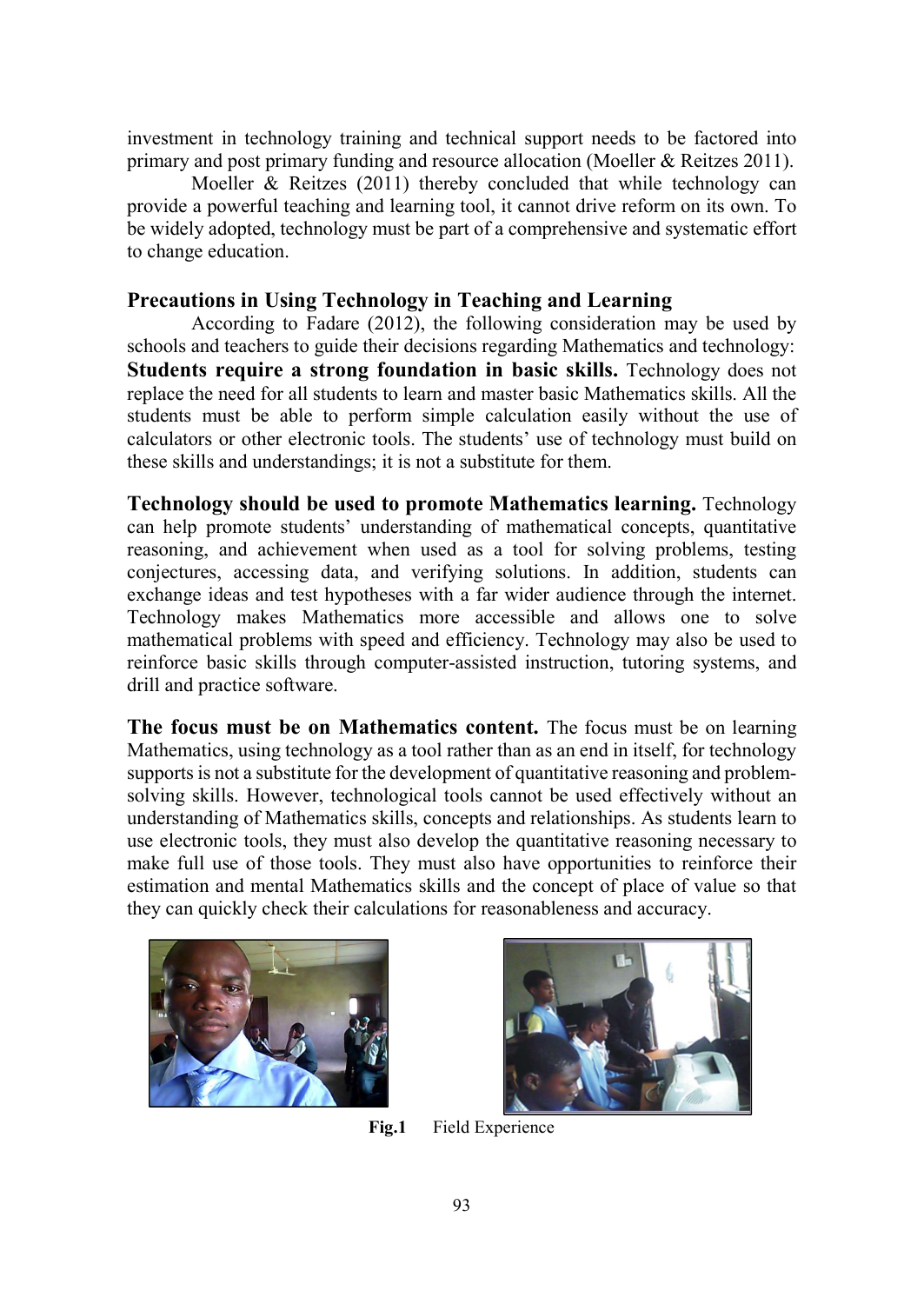investment in technology training and technical support needs to be factored into primary and post primary funding and resource allocation (Moeller & Reitzes 2011).

 Moeller & Reitzes (2011) thereby concluded that while technology can provide a powerful teaching and learning tool, it cannot drive reform on its own. To be widely adopted, technology must be part of a comprehensive and systematic effort to change education.

## Precautions in Using Technology in Teaching and Learning

According to Fadare (2012), the following consideration may be used by schools and teachers to guide their decisions regarding Mathematics and technology: Students require a strong foundation in basic skills. Technology does not replace the need for all students to learn and master basic Mathematics skills. All the students must be able to perform simple calculation easily without the use of calculators or other electronic tools. The students' use of technology must build on these skills and understandings; it is not a substitute for them.

Technology should be used to promote Mathematics learning. Technology can help promote students' understanding of mathematical concepts, quantitative reasoning, and achievement when used as a tool for solving problems, testing conjectures, accessing data, and verifying solutions. In addition, students can exchange ideas and test hypotheses with a far wider audience through the internet. Technology makes Mathematics more accessible and allows one to solve mathematical problems with speed and efficiency. Technology may also be used to reinforce basic skills through computer-assisted instruction, tutoring systems, and drill and practice software.

The focus must be on Mathematics content. The focus must be on learning Mathematics, using technology as a tool rather than as an end in itself, for technology supports is not a substitute for the development of quantitative reasoning and problemsolving skills. However, technological tools cannot be used effectively without an understanding of Mathematics skills, concepts and relationships. As students learn to use electronic tools, they must also develop the quantitative reasoning necessary to make full use of those tools. They must also have opportunities to reinforce their estimation and mental Mathematics skills and the concept of place of value so that they can quickly check their calculations for reasonableness and accuracy.





Fig.1 Field Experience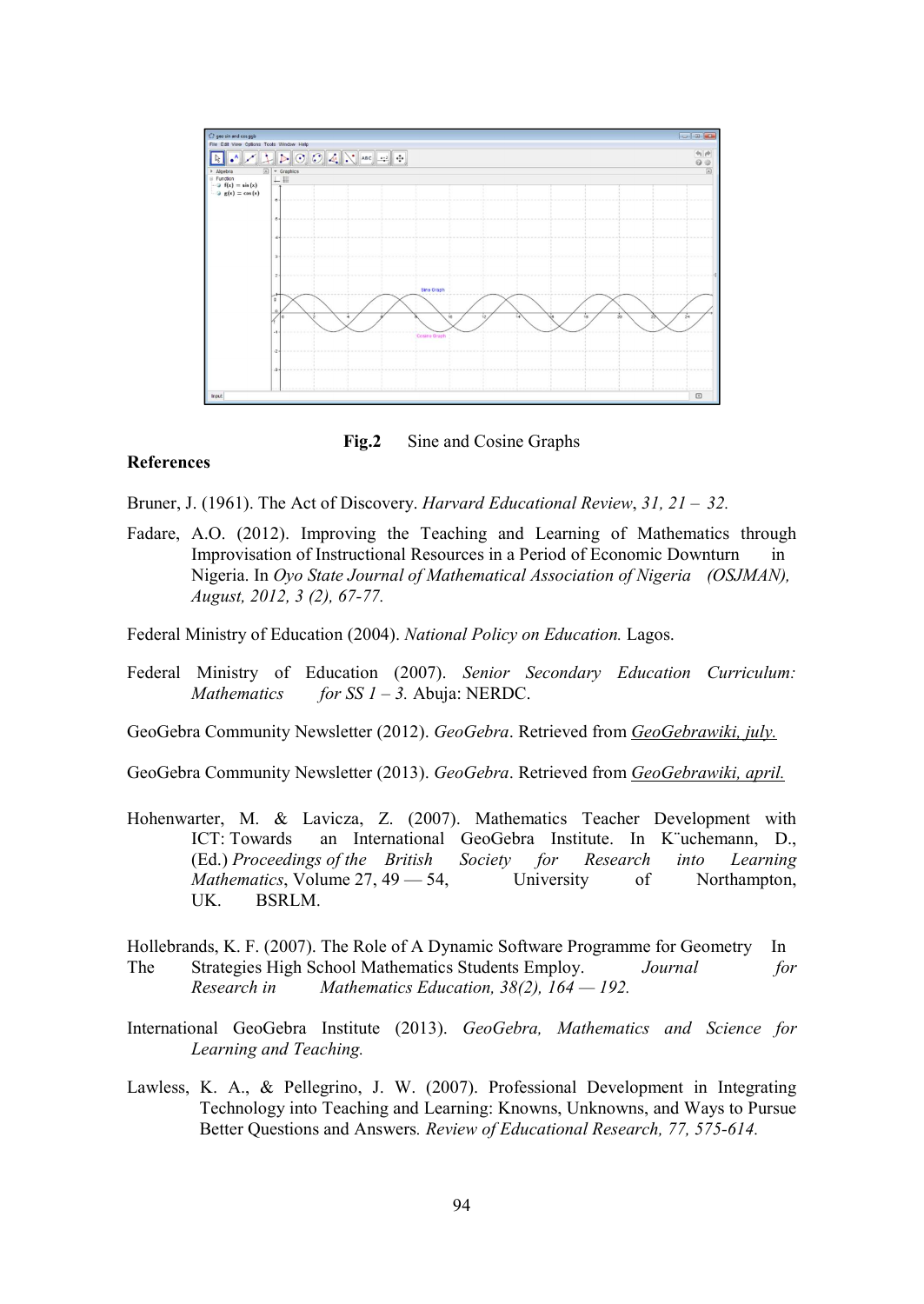

Fig.2 Sine and Cosine Graphs

#### References

Bruner, J. (1961). The Act of Discovery. Harvard Educational Review,  $31$ ,  $21 - 32$ .

Fadare, A.O. (2012). Improving the Teaching and Learning of Mathematics through Improvisation of Instructional Resources in a Period of Economic Downturn in Nigeria. In Oyo State Journal of Mathematical Association of Nigeria (OSJMAN), August, 2012, 3 (2), 67-77.

Federal Ministry of Education (2004). National Policy on Education. Lagos.

- Federal Ministry of Education (2007). Senior Secondary Education Curriculum: Mathematics for SS  $1 - 3$ . Abuja: NERDC.
- GeoGebra Community Newsletter (2012). GeoGebra. Retrieved from GeoGebrawiki, july.

GeoGebra Community Newsletter (2013). GeoGebra. Retrieved from GeoGebrawiki, april.

- Hohenwarter, M. & Lavicza, Z. (2007). Mathematics Teacher Development with ICT: Towards an International GeoGebra Institute. In K¨uchemann, D., (Ed.) Proceedings of the British Society for Research into Learning Mathematics, Volume 27, 49 – 54, University of Northampton, UK. BSRLM.
- Hollebrands, K. F. (2007). The Role of A Dynamic Software Programme for Geometry In The Strategies High School Mathematics Students Employ. Journal for Research in Mathematics Education,  $38(2)$ ,  $164 - 192$ .
- International GeoGebra Institute (2013). GeoGebra, Mathematics and Science for Learning and Teaching.
- Lawless, K. A., & Pellegrino, J. W. (2007). Professional Development in Integrating Technology into Teaching and Learning: Knowns, Unknowns, and Ways to Pursue Better Questions and Answers. Review of Educational Research, 77, 575-614.